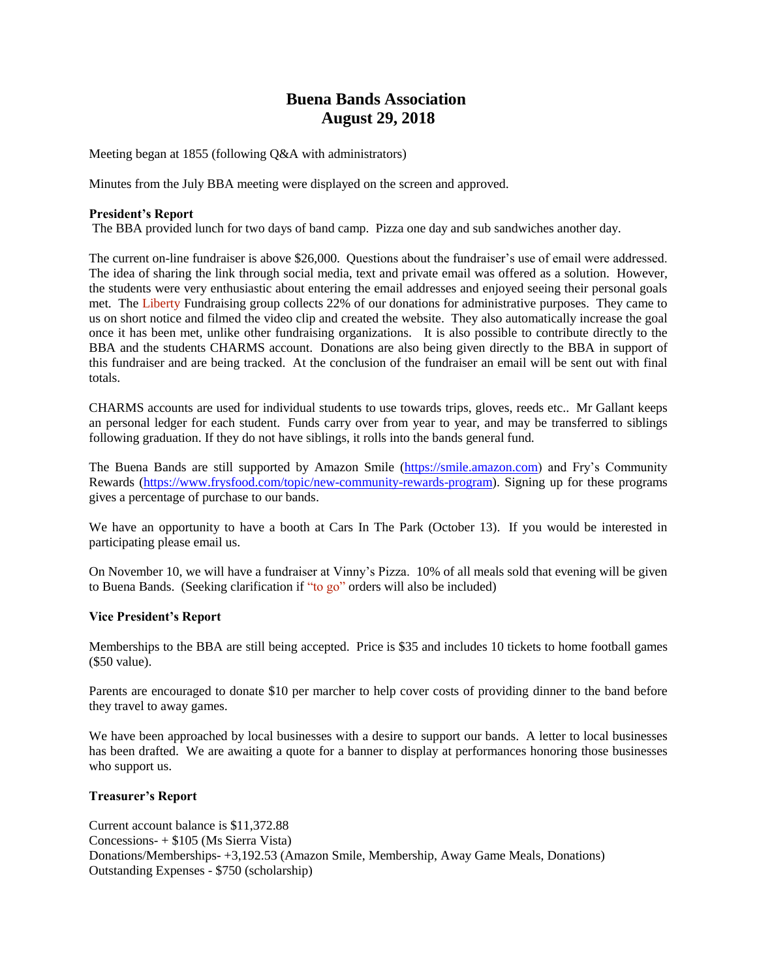# **Buena Bands Association August 29, 2018**

Meeting began at 1855 (following Q&A with administrators)

Minutes from the July BBA meeting were displayed on the screen and approved.

### **President's Report**

The BBA provided lunch for two days of band camp. Pizza one day and sub sandwiches another day.

The current on-line fundraiser is above \$26,000. Questions about the fundraiser's use of email were addressed. The idea of sharing the link through social media, text and private email was offered as a solution. However, the students were very enthusiastic about entering the email addresses and enjoyed seeing their personal goals met. The Liberty Fundraising group collects 22% of our donations for administrative purposes. They came to us on short notice and filmed the video clip and created the website. They also automatically increase the goal once it has been met, unlike other fundraising organizations. It is also possible to contribute directly to the BBA and the students CHARMS account. Donations are also being given directly to the BBA in support of this fundraiser and are being tracked. At the conclusion of the fundraiser an email will be sent out with final totals.

CHARMS accounts are used for individual students to use towards trips, gloves, reeds etc.. Mr Gallant keeps an personal ledger for each student. Funds carry over from year to year, and may be transferred to siblings following graduation. If they do not have siblings, it rolls into the bands general fund.

The Buena Bands are still supported by Amazon Smile [\(https://smile.amazon.com\)](https://smile.amazon.com/) and Fry's Community Rewards [\(https://www.frysfood.com/topic/new-community-rewards-program\)](https://www.frysfood.com/topic/new-community-rewards-program). Signing up for these programs gives a percentage of purchase to our bands.

We have an opportunity to have a booth at Cars In The Park (October 13). If you would be interested in participating please email us.

On November 10, we will have a fundraiser at Vinny's Pizza. 10% of all meals sold that evening will be given to Buena Bands. (Seeking clarification if "to go" orders will also be included)

#### **Vice President's Report**

Memberships to the BBA are still being accepted. Price is \$35 and includes 10 tickets to home football games (\$50 value).

Parents are encouraged to donate \$10 per marcher to help cover costs of providing dinner to the band before they travel to away games.

We have been approached by local businesses with a desire to support our bands. A letter to local businesses has been drafted. We are awaiting a quote for a banner to display at performances honoring those businesses who support us.

## **Treasurer's Report**

Current account balance is \$11,372.88 Concessions- + \$105 (Ms Sierra Vista) Donations/Memberships- +3,192.53 (Amazon Smile, Membership, Away Game Meals, Donations) Outstanding Expenses - \$750 (scholarship)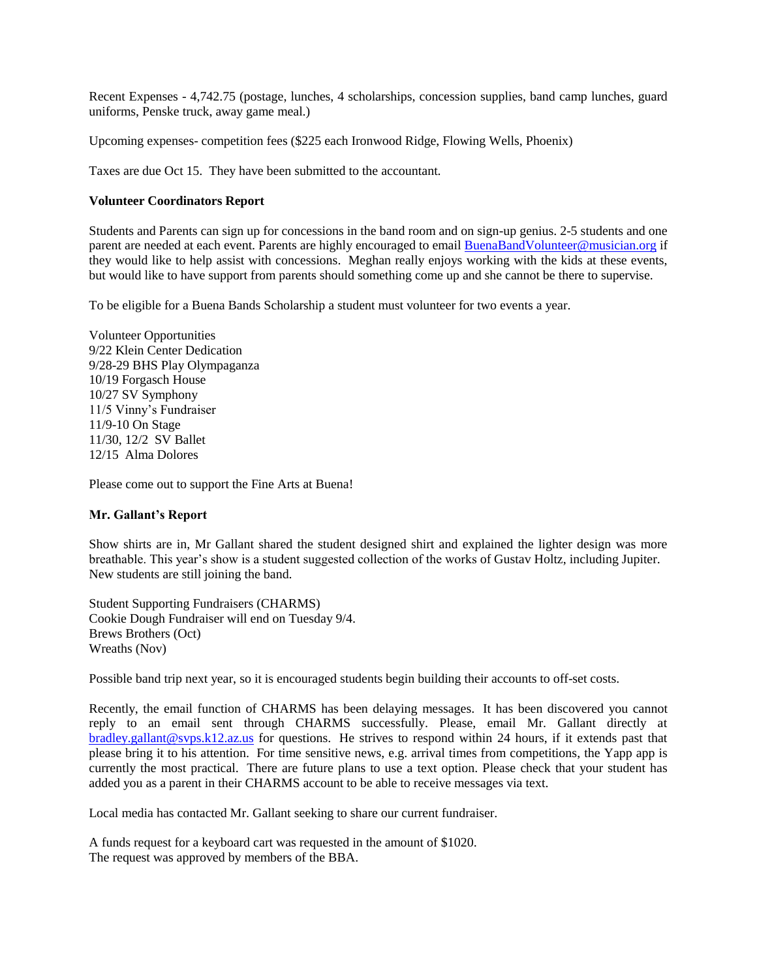Recent Expenses - 4,742.75 (postage, lunches, 4 scholarships, concession supplies, band camp lunches, guard uniforms, Penske truck, away game meal.)

Upcoming expenses- competition fees (\$225 each Ironwood Ridge, Flowing Wells, Phoenix)

Taxes are due Oct 15. They have been submitted to the accountant.

### **Volunteer Coordinators Report**

Students and Parents can sign up for concessions in the band room and on sign-up genius. 2-5 students and one parent are needed at each event. Parents are highly encouraged to emai[l BuenaBandVolunteer@musician.org](mailto:BuenaBandVolunteer@musician.org) if they would like to help assist with concessions. Meghan really enjoys working with the kids at these events, but would like to have support from parents should something come up and she cannot be there to supervise.

To be eligible for a Buena Bands Scholarship a student must volunteer for two events a year.

Volunteer Opportunities 9/22 Klein Center Dedication 9/28-29 BHS Play Olympaganza 10/19 Forgasch House 10/27 SV Symphony 11/5 Vinny's Fundraiser 11/9-10 On Stage 11/30, 12/2 SV Ballet 12/15 Alma Dolores

Please come out to support the Fine Arts at Buena!

#### **Mr. Gallant's Report**

Show shirts are in, Mr Gallant shared the student designed shirt and explained the lighter design was more breathable. This year's show is a student suggested collection of the works of Gustav Holtz, including Jupiter. New students are still joining the band.

Student Supporting Fundraisers (CHARMS) Cookie Dough Fundraiser will end on Tuesday 9/4. Brews Brothers (Oct) Wreaths (Nov)

Possible band trip next year, so it is encouraged students begin building their accounts to off-set costs.

Recently, the email function of CHARMS has been delaying messages. It has been discovered you cannot reply to an email sent through CHARMS successfully. Please, email Mr. Gallant directly at [bradley.gallant@svps.k12.az.us](mailto:bradley.gallant@svps.k12.az.us) for questions. He strives to respond within 24 hours, if it extends past that please bring it to his attention. For time sensitive news, e.g. arrival times from competitions, the Yapp app is currently the most practical. There are future plans to use a text option. Please check that your student has added you as a parent in their CHARMS account to be able to receive messages via text.

Local media has contacted Mr. Gallant seeking to share our current fundraiser.

A funds request for a keyboard cart was requested in the amount of \$1020. The request was approved by members of the BBA.